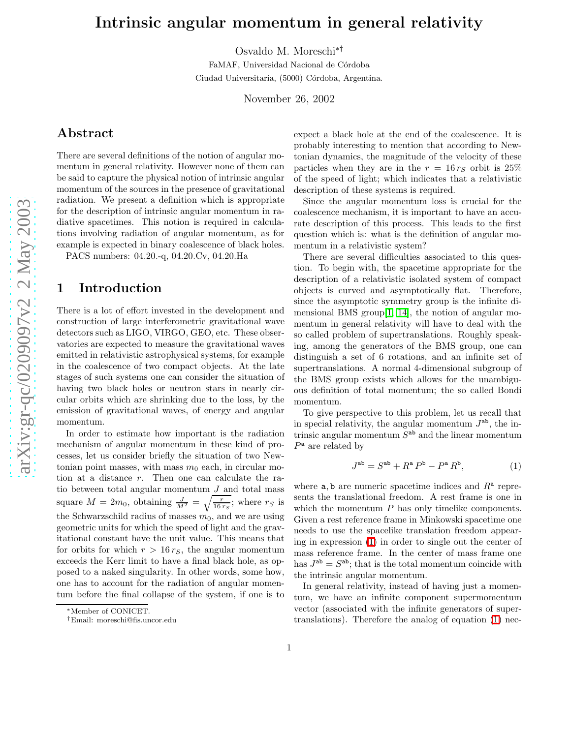# Intrinsic angular momentum in general relativity

Osvaldo M. Moreschi∗†

FaMAF, Universidad Nacional de Córdoba Ciudad Universitaria, (5000) Córdoba, Argentina.

November 26, 2002

## Abstract

There are several definitions of the notion of angular momentum in general relativity. However none of them can be said to capture the physical notion of intrinsic angular momentum of the sources in the presence of gravitational radiation. We present a definition which is appropriate for the description of intrinsic angular momentum in radiative spacetimes. This notion is required in calculations involving radiation of angular momentum, as for example is expected in binary coalescence of black holes.

PACS numbers: 04.20.-q, 04.20.Cv, 04.20.Ha

#### 1 Introduction

There is a lot of effort invested in the development and construction of large interferometric gravitational wave detectors such as LIGO, VIRGO, GEO, etc. These observatories are expected to measure the gravitational waves emitted in relativistic astrophysical systems, for example in the coalescence of two compact objects. At the late stages of such systems one can consider the situation of having two black holes or neutron stars in nearly circular orbits which are shrinking due to the loss, by the emission of gravitational waves, of energy and angular momentum.

In order to estimate how important is the radiation mechanism of angular momentum in these kind of processes, let us consider briefly the situation of two Newtonian point masses, with mass  $m_0$  each, in circular motion at a distance r. Then one can calculate the ratio between total angular momentum  $J$  and total mass square  $M = 2m_0$ , obtaining  $\frac{J}{M^2} = \sqrt{\frac{r}{16 r_S}}$ ; where  $r_S$  is the Schwarzschild radius of masses  $m_0$ , and we are using geometric units for which the speed of light and the gravitational constant have the unit value. This means that for orbits for which  $r > 16 r<sub>S</sub>$ , the angular momentum exceeds the Kerr limit to have a final black hole, as opposed to a naked singularity. In other words, some how, one has to account for the radiation of angular momentum before the final collapse of the system, if one is to expect a black hole at the end of the coalescence. It is probably interesting to mention that according to Newtonian dynamics, the magnitude of the velocity of these particles when they are in the  $r = 16 r_S$  orbit is 25% of the speed of light; which indicates that a relativistic description of these systems is required.

Since the angular momentum loss is crucial for the coalescence mechanism, it is important to have an accurate description of this process. This leads to the first question which is: what is the definition of angular momentum in a relativistic system?

There are several difficulties associated to this question. To begin with, the spacetime appropriate for the description of a relativistic isolated system of compact objects is curved and asymptotically flat. Therefore, since the asymptotic symmetry group is the infinite dimensional BMS group[\[1,](#page-3-0) [14\]](#page-3-1), the notion of angular momentum in general relativity will have to deal with the so called problem of supertranslations. Roughly speaking, among the generators of the BMS group, one can distinguish a set of 6 rotations, and an infinite set of supertranslations. A normal 4-dimensional subgroup of the BMS group exists which allows for the unambiguous definition of total momentum; the so called Bondi momentum.

<span id="page-0-0"></span>To give perspective to this problem, let us recall that in special relativity, the angular momentum  $J^{ab}$ , the intrinsic angular momentum  $S<sup>ab</sup>$  and the linear momentum  $P^{\mathsf{a}}$  are related by

$$
J^{\text{ab}} = S^{\text{ab}} + R^{\text{a}} P^{\text{b}} - P^{\text{a}} R^{\text{b}}, \tag{1}
$$

where  $a, b$  are numeric spacetime indices and  $R^a$  represents the translational freedom. A rest frame is one in which the momentum  $P$  has only timelike components. Given a rest reference frame in Minkowski spacetime one needs to use the spacelike translation freedom appearing in expression [\(1\)](#page-0-0) in order to single out the center of mass reference frame. In the center of mass frame one has  $J^{ab} = S^{ab}$ ; that is the total momentum coincide with the intrinsic angular momentum.

In general relativity, instead of having just a momentum, we have an infinite component supermomentum vector (associated with the infinite generators of supertranslations). Therefore the analog of equation [\(1\)](#page-0-0) nec-

<sup>∗</sup>Member of CONICET.

<sup>†</sup>Email: moreschi@fis.uncor.edu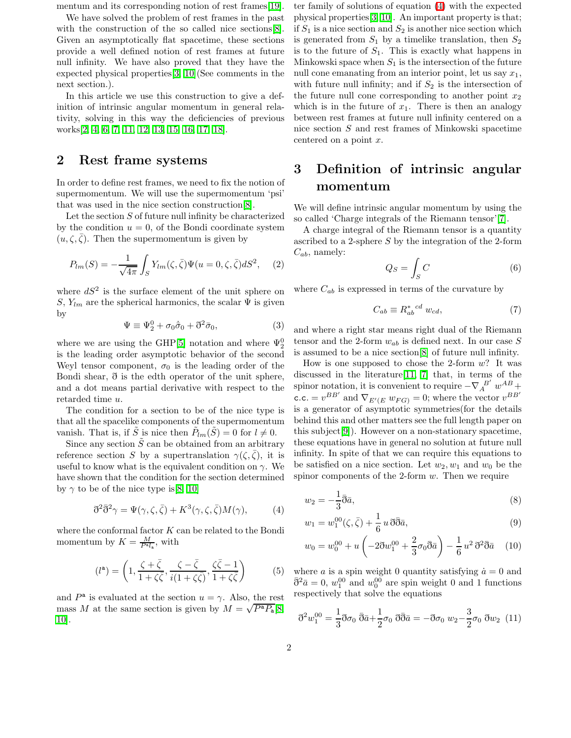mentum and its corresponding notion of rest frames [\[19\]](#page-3-2).

We have solved the problem of rest frames in the past with the construction of the so called nice sections [\[8\]](#page-3-3). Given an asymptotically flat spacetime, these sections provide a well defined notion of rest frames at future null infinity. We have also proved that they have the expected physical properties[\[3,](#page-3-4) [10\]](#page-3-5)(See comments in the next section.).

In this article we use this construction to give a definition of intrinsic angular momentum in general relativity, solving in this way the deficiencies of previous works[\[2,](#page-3-6) [4,](#page-3-7) [6,](#page-3-8) [7,](#page-3-9) [11,](#page-3-10) [12,](#page-3-11) [13,](#page-3-12) [15,](#page-3-13) [16,](#page-3-14) [17,](#page-3-15) [18\]](#page-3-16).

### 2 Rest frame systems

In order to define rest frames, we need to fix the notion of supermomentum. We will use the supermomentum 'psi' that was used in the nice section construction[\[8\]](#page-3-3).

Let the section S of future null infinity be characterized by the condition  $u = 0$ , of the Bondi coordinate system  $(u, \zeta, \overline{\zeta})$ . Then the supermomentum is given by

$$
P_{lm}(S) = -\frac{1}{\sqrt{4\pi}} \int_S Y_{lm}(\zeta, \bar{\zeta}) \Psi(u=0, \zeta, \bar{\zeta}) dS^2, \quad (2)
$$

where  $dS^2$  is the surface element of the unit sphere on S,  $Y_{lm}$  are the spherical harmonics, the scalar  $\Psi$  is given by

$$
\Psi \equiv \Psi_2^0 + \sigma_0 \dot{\bar{\sigma}}_0 + \eth^2 \bar{\sigma}_0, \tag{3}
$$

where we are using the GHP[\[5\]](#page-3-17) notation and where  $\Psi^0_2$ is the leading order asymptotic behavior of the second Weyl tensor component,  $\sigma_0$  is the leading order of the Bondi shear, ð is the edth operator of the unit sphere, and a dot means partial derivative with respect to the retarded time u.

The condition for a section to be of the nice type is that all the spacelike components of the supermomentum vanish. That is, if  $\tilde{S}$  is nice then  $\tilde{P}_{lm}(\tilde{S})=0$  for  $l \neq 0$ .

Since any section  $\tilde{S}$  can be obtained from an arbitrary reference section S by a supertranslation  $\gamma(\zeta,\bar{\zeta})$ , it is useful to know what is the equivalent condition on  $\gamma$ . We have shown that the condition for the section determined by  $\gamma$  to be of the nice type is [\[8,](#page-3-3) [10\]](#page-3-5)

<span id="page-1-0"></span>
$$
\tilde{\sigma}^2 \bar{\tilde{\sigma}}^2 \gamma = \Psi(\gamma, \zeta, \bar{\zeta}) + K^3(\gamma, \zeta, \bar{\zeta}) M(\gamma), \tag{4}
$$

where the conformal factor  $K$  can be related to the Bondi momentum by  $K = \frac{M}{P^{\mathsf{a}} l_{\mathsf{a}}}$ , with

$$
(l^{\mathbf{a}}) = \left(1, \frac{\zeta + \bar{\zeta}}{1 + \zeta \bar{\zeta}}, \frac{\zeta - \bar{\zeta}}{i(1 + \zeta \bar{\zeta})}, \frac{\zeta \bar{\zeta} - 1}{1 + \zeta \bar{\zeta}}\right) \tag{5}
$$

and  $P^{\mathsf{a}}$  is evaluated at the section  $u = \gamma$ . Also, the rest mass M at the same section is given by  $M = \sqrt{P^a P_a} [8,$  $M = \sqrt{P^a P_a} [8,$ [10\]](#page-3-5).

ter family of solutions of equation [\(4\)](#page-1-0) with the expected physical properties[\[3,](#page-3-4) [10\]](#page-3-5). An important property is that; if  $S_1$  is a nice section and  $S_2$  is another nice section which is generated from  $S_1$  by a timelike translation, then  $S_2$ is to the future of  $S_1$ . This is exactly what happens in Minkowski space when  $S_1$  is the intersection of the future null cone emanating from an interior point, let us say  $x_1$ , with future null infinity; and if  $S_2$  is the intersection of the future null cone corresponding to another point  $x_2$ which is in the future of  $x_1$ . There is then an analogy between rest frames at future null infinity centered on a nice section S and rest frames of Minkowski spacetime centered on a point x.

# 3 Definition of intrinsic angular momentum

We will define intrinsic angular momentum by using the so called 'Charge integrals of the Riemann tensor'[\[7\]](#page-3-9).

A charge integral of the Riemann tensor is a quantity ascribed to a 2-sphere  $S$  by the integration of the 2-form  $C_{ab}$ , namely:

$$
Q_S = \int_S C \tag{6}
$$

where  $C_{ab}$  is expressed in terms of the curvature by

$$
C_{ab} \equiv R_{ab}^*{}^{cd} w_{cd},\tag{7}
$$

and where a right star means right dual of the Riemann tensor and the 2-form  $w_{ab}$  is defined next. In our case S is assumed to be a nice section[\[8\]](#page-3-3) of future null infinity.

How is one supposed to chose the 2-form  $w$ ? It was discussed in the literature[\[11,](#page-3-10) [7\]](#page-3-9) that, in terms of the spinor notation, it is convenient to require  $-\nabla_A^{B'} w^{AB} +$ c.c. =  $v^{BB'}$  and  $\nabla_{E'(E} w_{FG)} = 0$ ; where the vector  $v^{BB'}$ is a generator of asymptotic symmetries(for the details behind this and other matters see the full length paper on this subject[\[9\]](#page-3-18)). However on a non-stationary spacetime, these equations have in general no solution at future null infinity. In spite of that we can require this equations to be satisfied on a nice section. Let  $w_2, w_1$  and  $w_0$  be the spinor components of the 2-form  $w$ . Then we require

$$
w_2 = -\frac{1}{3}\bar{\eth}\bar{a},\tag{8}
$$

$$
w_1 = w_1^{00}(\zeta, \bar{\zeta}) + \frac{1}{6} u \,\eth \bar{\eth} \bar{a},\tag{9}
$$

$$
w_0 = w_0^{00} + u \left( -2 \eth w_1^{00} + \frac{2}{3} \sigma_0 \bar{\eth} \bar{a} \right) - \frac{1}{6} u^2 \, \eth^2 \bar{\eth} \bar{a} \quad (10)
$$

where a is a spin weight 0 quantity satisfying  $\dot{a} = 0$  and  $\bar{\eth}^2 \bar{a} = 0$ ,  $w_1^{00}$  and  $w_0^{00}$  are spin weight 0 and 1 functions respectively that solve the equations

$$
\vec{\sigma}^2 w_1^{00} = \frac{1}{3} \vec{\sigma}_{00} \,\bar{\vec{\sigma}}\bar{a} + \frac{1}{2} \sigma_0 \,\bar{\vec{\sigma}}\bar{\vec{\sigma}} = -\vec{\sigma}_{00} \, w_2 - \frac{3}{2} \sigma_0 \,\bar{\sigma}_{02} \tag{11}
$$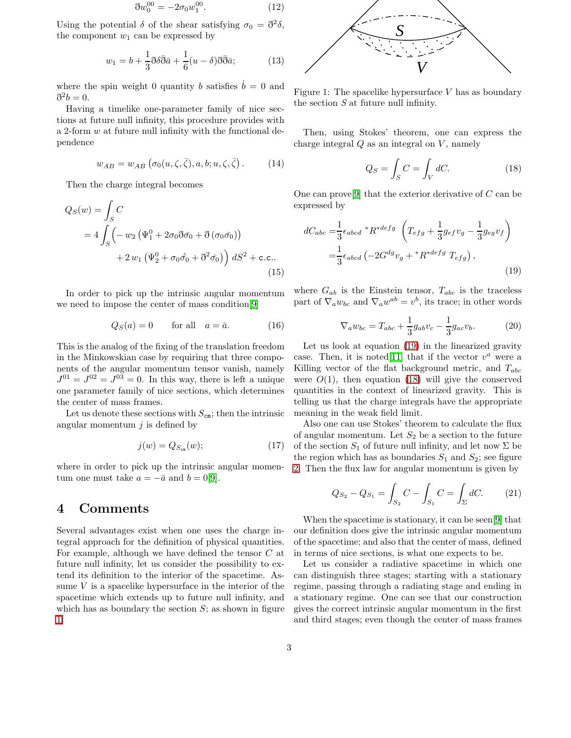$$
\partial w_0^{00} = -2\sigma_0 w_1^{00}.\tag{12}
$$

Using the potential  $\delta$  of the shear satisfying  $\sigma_0 = \partial^2 \delta$ , the component  $w_1$  can be expressed by

$$
w_1 = b + \frac{1}{3}\partial \delta \bar{\partial} \bar{a} + \frac{1}{6}(u - \delta)\partial \bar{\partial} \bar{a};\tag{13}
$$

where the spin weight 0 quantity b satisfies  $\dot{b} = 0$  and  $\mathfrak{d}^2b=0.$ 

Having a timelike one-parameter family of nice sections at future null infinity, this procedure provides with a 2-form  $w$  at future null infinity with the functional dependence

$$
w_{AB} = w_{AB} \left( \sigma_0(u, \zeta, \bar{\zeta}), a, b; u, \zeta, \bar{\zeta} \right). \tag{14}
$$

Then the charge integral becomes

$$
Q_S(w) = \int_S C
$$
  
=  $4 \int_S \left( -w_2 \left( \Psi_1^0 + 2 \sigma_0 \vec{\partial} \bar{\sigma}_0 + \vec{\partial} (\sigma_0 \bar{\sigma}_0) \right) + 2 w_1 \left( \Psi_2^0 + \sigma_0 \dot{\bar{\sigma}}_0 + \vec{\partial}^2 \bar{\sigma}_0 \right) \right) dS^2 + \text{c.c.}.$  (15)

In order to pick up the intrinsic angular momentum we need to impose the center of mass condition[\[9\]](#page-3-18)

$$
Q_S(a) = 0 \qquad \text{for all} \quad a = \bar{a}.\tag{16}
$$

This is the analog of the fixing of the translation freedom in the Minkowskian case by requiring that three components of the angular momentum tensor vanish, namely  $J^{01} = J^{02} = J^{03} = 0$ . In this way, there is left a unique one parameter family of nice sections, which determines the center of mass frames.

Let us denote these sections with  $S_{\text{cm}}$ ; then the intrinsic angular momentum  $j$  is defined by

$$
j(w) = Q_{S_{\text{cm}}}(w); \tag{17}
$$

where in order to pick up the intrinsic angular momentum one must take  $a = -\bar{a}$  and  $b = 0[9]$  $b = 0[9]$ .

#### 4 Comments

Several advantages exist when one uses the charge integral approach for the definition of physical quantities. For example, although we have defined the tensor C at future null infinity, let us consider the possibility to extend its definition to the interior of the spacetime. Assume  $V$  is a spacelike hypersurface in the interior of the spacetime which extends up to future null infinity, and which has as boundary the section  $S$ ; as shown in figure [1.](#page-2-0)



<span id="page-2-0"></span>Figure 1: The spacelike hypersurface  $V$  has as boundary the section S at future null infinity.

Then, using Stokes' theorem, one can express the charge integral  $Q$  as an integral on  $V$ , namely

<span id="page-2-2"></span>
$$
Q_S = \int_S C = \int_V dC. \tag{18}
$$

<span id="page-2-1"></span>One can prove<sup>[\[9\]](#page-3-18)</sup> that the exterior derivative of  $C$  can be expressed by

$$
dC_{abc} = \frac{1}{3} \epsilon_{abcd} * R^{*defg} \left( T_{efg} + \frac{1}{3} g_{ef} v_g - \frac{1}{3} g_{eg} v_f \right)
$$

$$
= \frac{1}{3} \epsilon_{abcd} \left( -2G^{dg} v_g + *R^{*defg} T_{efg} \right), \tag{19}
$$

where  $G_{ab}$  is the Einstein tensor,  $T_{abc}$  is the traceless part of  $\nabla_a w_{bc}$  and  $\nabla_a w^{ab} = v^b$ , its trace; in other words

$$
\nabla_a w_{bc} = T_{abc} + \frac{1}{3} g_{ab} v_c - \frac{1}{3} g_{ac} v_b.
$$
 (20)

Let us look at equation [\(19\)](#page-2-1) in the linearized gravity case. Then, it is noted<sup>[\[11\]](#page-3-10)</sup> that if the vector  $v^a$  were a Killing vector of the flat background metric, and  $T_{abc}$ were  $O(1)$ , then equation [\(18\)](#page-2-2) will give the conserved quantities in the context of linearized gravity. This is telling us that the charge integrals have the appropriate meaning in the weak field limit.

Also one can use Stokes' theorem to calculate the flux of angular momentum. Let  $S_2$  be a section to the future of the section  $S_1$  of future null infinity, and let now  $\Sigma$  be the region which has as boundaries  $S_1$  and  $S_2$ ; see figure [2.](#page-3-19) Then the flux law for angular momentum is given by

$$
Q_{S_2} - Q_{S_1} = \int_{S_2} C - \int_{S_1} C = \int_{\Sigma} dC. \tag{21}
$$

When the spacetime is stationary, it can be seen[\[9\]](#page-3-18) that our definition does give the intrinsic angular momentum of the spacetime; and also that the center of mass, defined in terms of nice sections, is what one expects to be.

Let us consider a radiative spacetime in which one can distinguish three stages; starting with a stationary regime, passing through a radiating stage and ending in a stationary regime. One can see that our construction gives the correct intrinsic angular momentum in the first and third stages; even though the center of mass frames